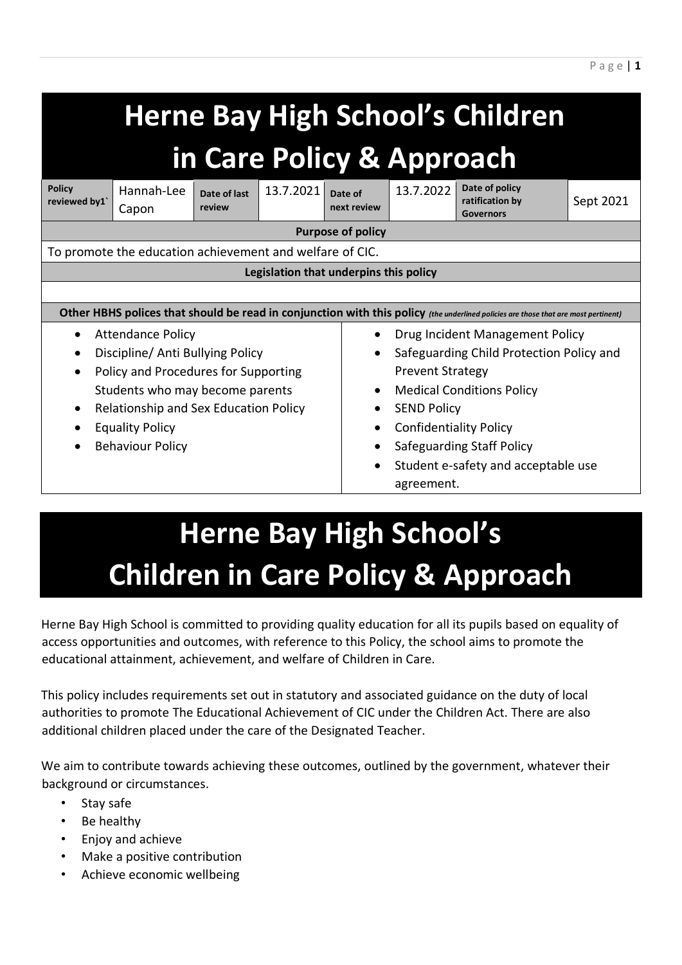| <b>Herne Bay High School's Children</b><br>in Care Policy & Approach                                                               |                     |                        |           |                        |                                          |                                                       |           |  |
|------------------------------------------------------------------------------------------------------------------------------------|---------------------|------------------------|-----------|------------------------|------------------------------------------|-------------------------------------------------------|-----------|--|
| <b>Policy</b><br>reviewed by1                                                                                                      | Hannah-Lee<br>Capon | Date of last<br>review | 13.7.2021 | Date of<br>next review | 13.7.2022                                | Date of policy<br>ratification by<br><b>Governors</b> | Sept 2021 |  |
| <b>Purpose of policy</b>                                                                                                           |                     |                        |           |                        |                                          |                                                       |           |  |
| To promote the education achievement and welfare of CIC.                                                                           |                     |                        |           |                        |                                          |                                                       |           |  |
| Legislation that underpins this policy                                                                                             |                     |                        |           |                        |                                          |                                                       |           |  |
|                                                                                                                                    |                     |                        |           |                        |                                          |                                                       |           |  |
| Other HBHS polices that should be read in conjunction with this policy (the underlined policies are those that are most pertinent) |                     |                        |           |                        |                                          |                                                       |           |  |
| <b>Attendance Policy</b><br>$\bullet$                                                                                              |                     |                        |           |                        | Drug Incident Management Policy          |                                                       |           |  |
| Discipline/ Anti Bullying Policy                                                                                                   |                     |                        |           |                        | Safeguarding Child Protection Policy and |                                                       |           |  |
| Policy and Procedures for Supporting                                                                                               |                     |                        |           |                        | <b>Prevent Strategy</b>                  |                                                       |           |  |
| Students who may become parents                                                                                                    |                     |                        |           |                        | <b>Medical Conditions Policy</b>         |                                                       |           |  |
| Relationship and Sex Education Policy                                                                                              |                     |                        |           |                        | <b>SEND Policy</b>                       |                                                       |           |  |
| <b>Equality Policy</b>                                                                                                             |                     |                        |           |                        | <b>Confidentiality Policy</b>            |                                                       |           |  |
| <b>Behaviour Policy</b>                                                                                                            |                     |                        |           |                        | Safeguarding Staff Policy                |                                                       |           |  |
|                                                                                                                                    |                     |                        |           |                        | Student e-safety and acceptable use      |                                                       |           |  |
|                                                                                                                                    |                     |                        |           |                        | agreement.                               |                                                       |           |  |
|                                                                                                                                    |                     |                        |           |                        |                                          |                                                       |           |  |

P a g e | **1**

# **Herne Bay High School's Children in Care Policy & Approach**

Herne Bay High School is committed to providing quality education for all its pupils based on equality of access opportunities and outcomes, with reference to this Policy, the school aims to promote the educational attainment, achievement, and welfare of Children in Care.

This policy includes requirements set out in statutory and associated guidance on the duty of local authorities to promote The Educational Achievement of CIC under the Children Act. There are also additional children placed under the care of the Designated Teacher.

We aim to contribute towards achieving these outcomes, outlined by the government, whatever their background or circumstances.

- Stay safe
- Be healthy
- Enjoy and achieve
- Make a positive contribution
- Achieve economic wellbeing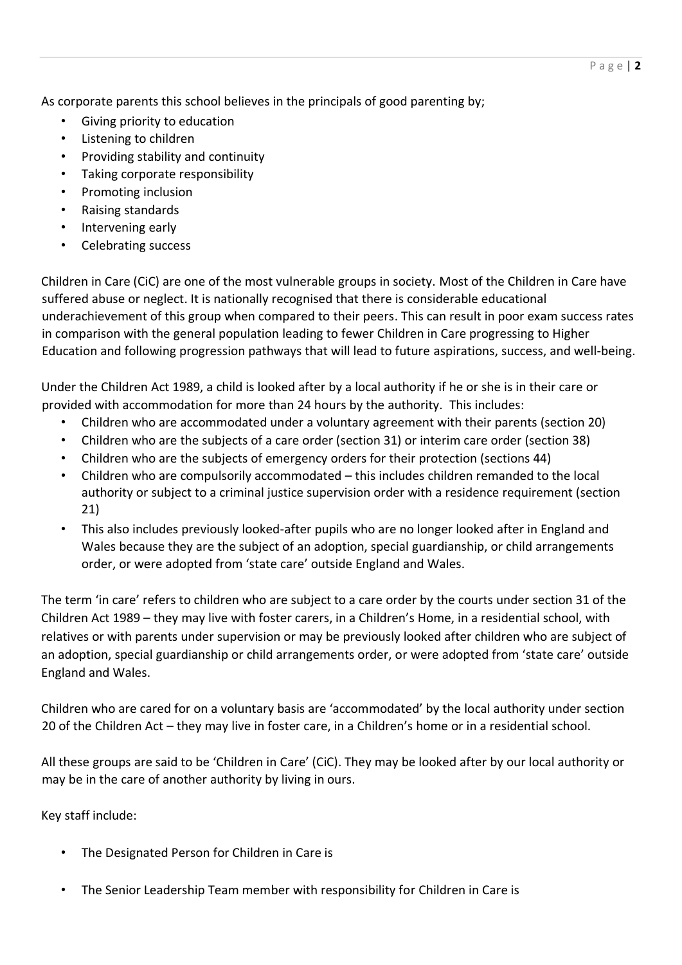As corporate parents this school believes in the principals of good parenting by;

- Giving priority to education
- Listening to children
- Providing stability and continuity
- Taking corporate responsibility
- Promoting inclusion
- Raising standards
- Intervening early
- Celebrating success

Children in Care (CiC) are one of the most vulnerable groups in society. Most of the Children in Care have suffered abuse or neglect. It is nationally recognised that there is considerable educational underachievement of this group when compared to their peers. This can result in poor exam success rates in comparison with the general population leading to fewer Children in Care progressing to Higher Education and following progression pathways that will lead to future aspirations, success, and well-being.

Under the Children Act 1989, a child is looked after by a local authority if he or she is in their care or provided with accommodation for more than 24 hours by the authority. This includes:

- Children who are accommodated under a voluntary agreement with their parents (section 20)
- Children who are the subjects of a care order (section 31) or interim care order (section 38)
- Children who are the subjects of emergency orders for their protection (sections 44)
- Children who are compulsorily accommodated this includes children remanded to the local authority or subject to a criminal justice supervision order with a residence requirement (section 21)
- This also includes previously looked-after pupils who are no longer looked after in England and Wales because they are the subject of an adoption, special guardianship, or child arrangements order, or were adopted from 'state care' outside England and Wales.

The term 'in care' refers to children who are subject to a care order by the courts under section 31 of the Children Act 1989 – they may live with foster carers, in a Children's Home, in a residential school, with relatives or with parents under supervision or may be previously looked after children who are subject of an adoption, special guardianship or child arrangements order, or were adopted from 'state care' outside England and Wales.

Children who are cared for on a voluntary basis are 'accommodated' by the local authority under section 20 of the Children Act – they may live in foster care, in a Children's home or in a residential school.

All these groups are said to be 'Children in Care' (CiC). They may be looked after by our local authority or may be in the care of another authority by living in ours.

Key staff include:

- The Designated Person for Children in Care is
- The Senior Leadership Team member with responsibility for Children in Care is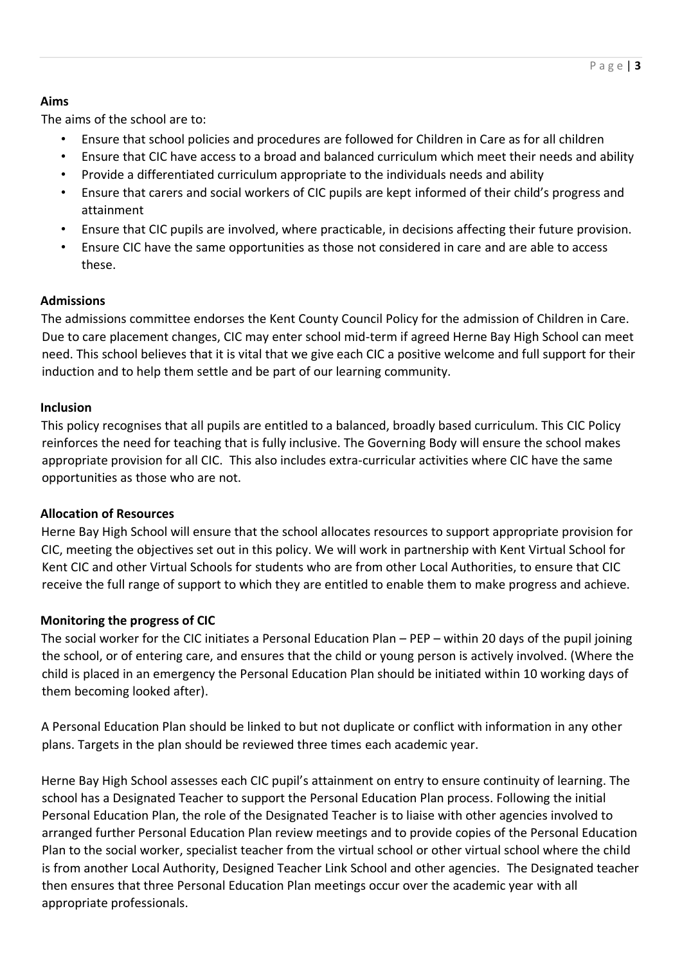# **Aims**

The aims of the school are to:

- Ensure that school policies and procedures are followed for Children in Care as for all children
- Ensure that CIC have access to a broad and balanced curriculum which meet their needs and ability
- Provide a differentiated curriculum appropriate to the individuals needs and ability
- Ensure that carers and social workers of CIC pupils are kept informed of their child's progress and attainment
- Ensure that CIC pupils are involved, where practicable, in decisions affecting their future provision.
- Ensure CIC have the same opportunities as those not considered in care and are able to access these.

# **Admissions**

The admissions committee endorses the Kent County Council Policy for the admission of Children in Care. Due to care placement changes, CIC may enter school mid-term if agreed Herne Bay High School can meet need. This school believes that it is vital that we give each CIC a positive welcome and full support for their induction and to help them settle and be part of our learning community.

## **Inclusion**

This policy recognises that all pupils are entitled to a balanced, broadly based curriculum. This CIC Policy reinforces the need for teaching that is fully inclusive. The Governing Body will ensure the school makes appropriate provision for all CIC. This also includes extra-curricular activities where CIC have the same opportunities as those who are not.

# **Allocation of Resources**

Herne Bay High School will ensure that the school allocates resources to support appropriate provision for CIC, meeting the objectives set out in this policy. We will work in partnership with Kent Virtual School for Kent CIC and other Virtual Schools for students who are from other Local Authorities, to ensure that CIC receive the full range of support to which they are entitled to enable them to make progress and achieve.

# **Monitoring the progress of CIC**

The social worker for the CIC initiates a Personal Education Plan – PEP – within 20 days of the pupil joining the school, or of entering care, and ensures that the child or young person is actively involved. (Where the child is placed in an emergency the Personal Education Plan should be initiated within 10 working days of them becoming looked after).

A Personal Education Plan should be linked to but not duplicate or conflict with information in any other plans. Targets in the plan should be reviewed three times each academic year.

Herne Bay High School assesses each CIC pupil's attainment on entry to ensure continuity of learning. The school has a Designated Teacher to support the Personal Education Plan process. Following the initial Personal Education Plan, the role of the Designated Teacher is to liaise with other agencies involved to arranged further Personal Education Plan review meetings and to provide copies of the Personal Education Plan to the social worker, specialist teacher from the virtual school or other virtual school where the child is from another Local Authority, Designed Teacher Link School and other agencies. The Designated teacher then ensures that three Personal Education Plan meetings occur over the academic year with all appropriate professionals.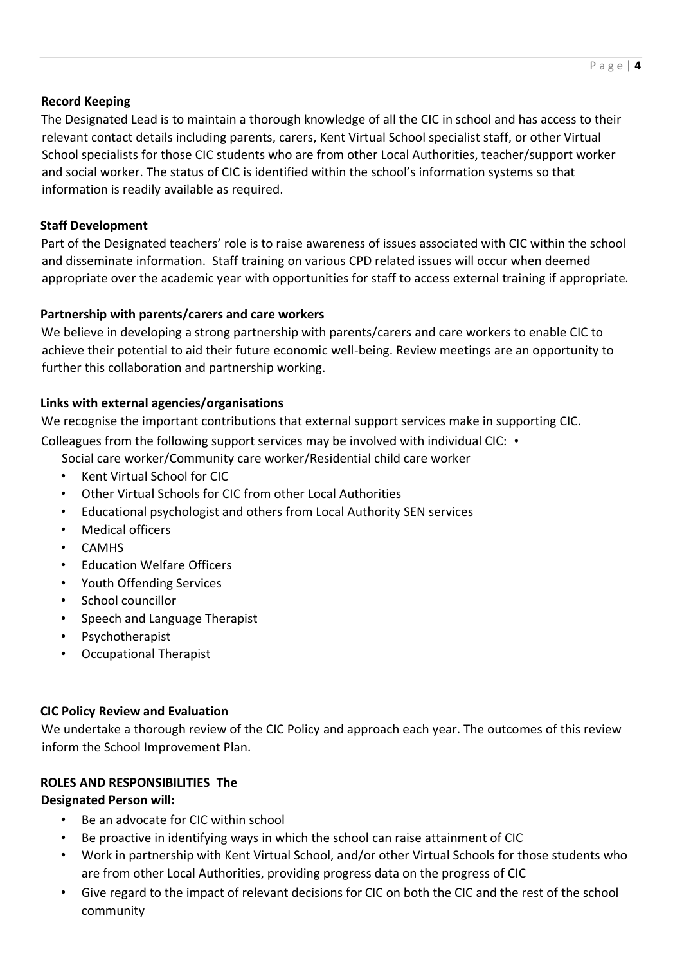## **Record Keeping**

The Designated Lead is to maintain a thorough knowledge of all the CIC in school and has access to their relevant contact details including parents, carers, Kent Virtual School specialist staff, or other Virtual School specialists for those CIC students who are from other Local Authorities, teacher/support worker and social worker. The status of CIC is identified within the school's information systems so that information is readily available as required.

## **Staff Development**

Part of the Designated teachers' role is to raise awareness of issues associated with CIC within the school and disseminate information. Staff training on various CPD related issues will occur when deemed appropriate over the academic year with opportunities for staff to access external training if appropriate.

#### **Partnership with parents/carers and care workers**

We believe in developing a strong partnership with parents/carers and care workers to enable CIC to achieve their potential to aid their future economic well-being. Review meetings are an opportunity to further this collaboration and partnership working.

#### **Links with external agencies/organisations**

We recognise the important contributions that external support services make in supporting CIC.

Colleagues from the following support services may be involved with individual CIC: •

Social care worker/Community care worker/Residential child care worker

- Kent Virtual School for CIC
- Other Virtual Schools for CIC from other Local Authorities
- Educational psychologist and others from Local Authority SEN services
- Medical officers
- CAMHS
- Education Welfare Officers
- Youth Offending Services
- School councillor
- Speech and Language Therapist
- **Psychotherapist**
- Occupational Therapist

#### **CIC Policy Review and Evaluation**

We undertake a thorough review of the CIC Policy and approach each year. The outcomes of this review inform the School Improvement Plan.

## **ROLES AND RESPONSIBILITIES The**

## **Designated Person will:**

- Be an advocate for CIC within school
- Be proactive in identifying ways in which the school can raise attainment of CIC
- Work in partnership with Kent Virtual School, and/or other Virtual Schools for those students who are from other Local Authorities, providing progress data on the progress of CIC
- Give regard to the impact of relevant decisions for CIC on both the CIC and the rest of the school community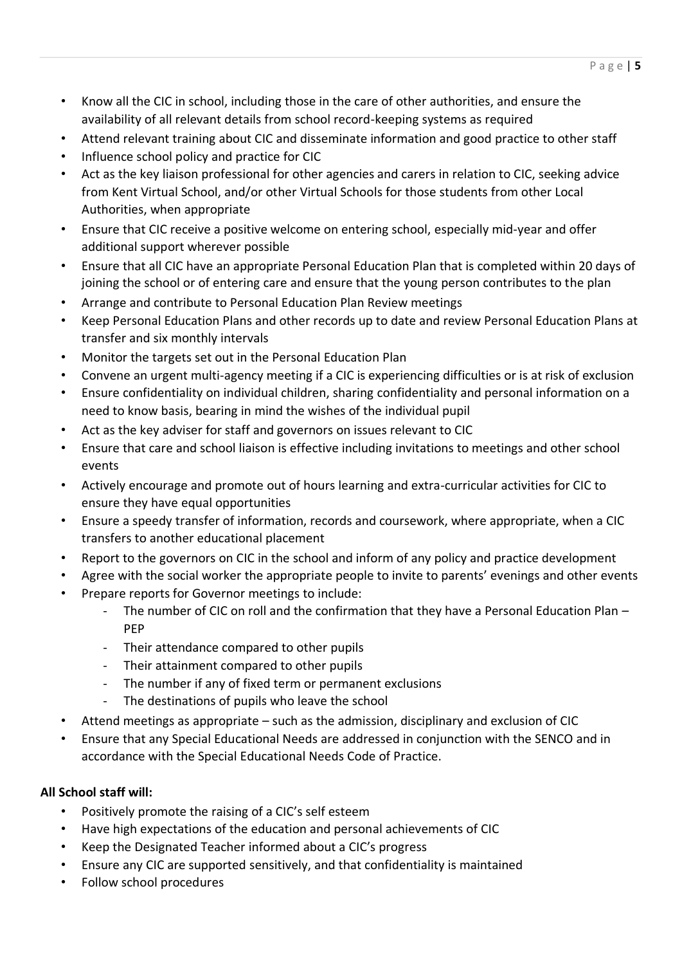- Know all the CIC in school, including those in the care of other authorities, and ensure the availability of all relevant details from school record-keeping systems as required
- Attend relevant training about CIC and disseminate information and good practice to other staff
- Influence school policy and practice for CIC
- Act as the key liaison professional for other agencies and carers in relation to CIC, seeking advice from Kent Virtual School, and/or other Virtual Schools for those students from other Local Authorities, when appropriate
- Ensure that CIC receive a positive welcome on entering school, especially mid-year and offer additional support wherever possible
- Ensure that all CIC have an appropriate Personal Education Plan that is completed within 20 days of joining the school or of entering care and ensure that the young person contributes to the plan
- Arrange and contribute to Personal Education Plan Review meetings
- Keep Personal Education Plans and other records up to date and review Personal Education Plans at transfer and six monthly intervals
- Monitor the targets set out in the Personal Education Plan
- Convene an urgent multi-agency meeting if a CIC is experiencing difficulties or is at risk of exclusion
- Ensure confidentiality on individual children, sharing confidentiality and personal information on a need to know basis, bearing in mind the wishes of the individual pupil
- Act as the key adviser for staff and governors on issues relevant to CIC
- Ensure that care and school liaison is effective including invitations to meetings and other school events
- Actively encourage and promote out of hours learning and extra-curricular activities for CIC to ensure they have equal opportunities
- Ensure a speedy transfer of information, records and coursework, where appropriate, when a CIC transfers to another educational placement
- Report to the governors on CIC in the school and inform of any policy and practice development
- Agree with the social worker the appropriate people to invite to parents' evenings and other events
- Prepare reports for Governor meetings to include:
	- The number of CIC on roll and the confirmation that they have a Personal Education Plan PEP
	- Their attendance compared to other pupils
	- Their attainment compared to other pupils
	- The number if any of fixed term or permanent exclusions
	- The destinations of pupils who leave the school
- Attend meetings as appropriate such as the admission, disciplinary and exclusion of CIC
- Ensure that any Special Educational Needs are addressed in conjunction with the SENCO and in accordance with the Special Educational Needs Code of Practice.

# **All School staff will:**

- Positively promote the raising of a CIC's self esteem
- Have high expectations of the education and personal achievements of CIC
- Keep the Designated Teacher informed about a CIC's progress
- Ensure any CIC are supported sensitively, and that confidentiality is maintained
- Follow school procedures